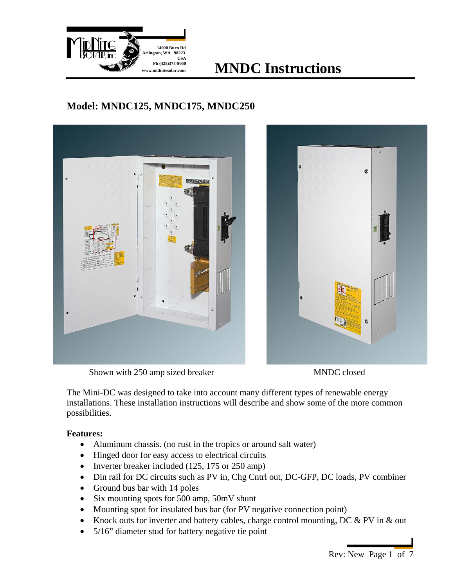

# **w.midnitesolar.com MNDC** Instructions

### **Model: MNDC125, MNDC175, MNDC250**





Shown with 250 amp sized breaker MNDC closed

The Mini-DC was designed to take into account many different types of renewable energy installations. These installation instructions will describe and show some of the more common possibilities.

### **Features:**

- Aluminum chassis. (no rust in the tropics or around salt water)
- Hinged door for easy access to electrical circuits
- Inverter breaker included (125, 175 or 250 amp)
- Din rail for DC circuits such as PV in, Chg Cntrl out, DC-GFP, DC loads, PV combiner
- Ground bus bar with 14 poles
- Six mounting spots for 500 amp, 50mV shunt
- Mounting spot for insulated bus bar (for PV negative connection point)
- Knock outs for inverter and battery cables, charge control mounting, DC & PV in & out
- 5/16" diameter stud for battery negative tie point

Rev: New Page 1 of 7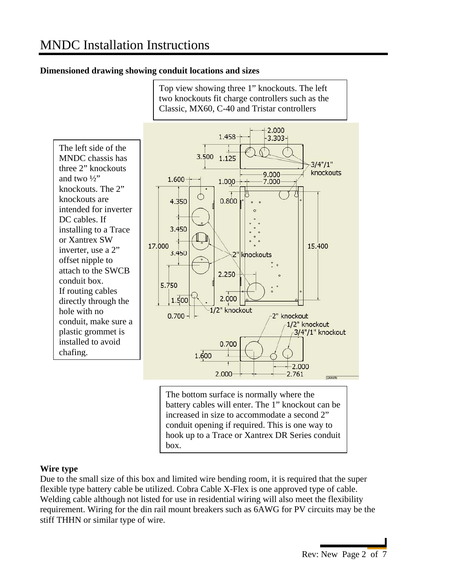#### **Dimensioned drawing showing conduit locations and sizes**



Top view showing three 1" knockouts. The left

#### **Wire type**

Due to the small size of this box and limited wire bending room, it is required that the super flexible type battery cable be utilized. Cobra Cable X-Flex is one approved type of cable. Welding cable although not listed for use in residential wiring will also meet the flexibility requirement. Wiring for the din rail mount breakers such as 6AWG for PV circuits may be the stiff THHN or similar type of wire.

box.

conduit opening if required. This is one way to hook up to a Trace or Xantrex DR Series conduit

Rev: New Page 2 of 7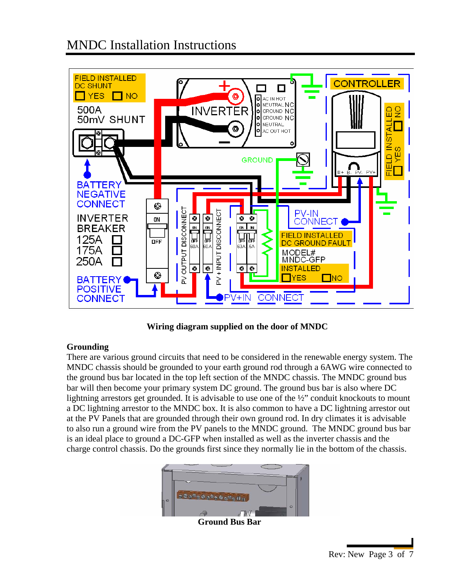

**Wiring diagram supplied on the door of MNDC** 

### **Grounding**

There are various ground circuits that need to be considered in the renewable energy system. The MNDC chassis should be grounded to your earth ground rod through a 6AWG wire connected to the ground bus bar located in the top left section of the MNDC chassis. The MNDC ground bus bar will then become your primary system DC ground. The ground bus bar is also where DC lightning arrestors get grounded. It is advisable to use one of the ½" conduit knockouts to mount a DC lightning arrestor to the MNDC box. It is also common to have a DC lightning arrestor out at the PV Panels that are grounded through their own ground rod. In dry climates it is advisable to also run a ground wire from the PV panels to the MNDC ground. The MNDC ground bus bar is an ideal place to ground a DC-GFP when installed as well as the inverter chassis and the charge control chassis. Do the grounds first since they normally lie in the bottom of the chassis.



 **Ground Bus Bar**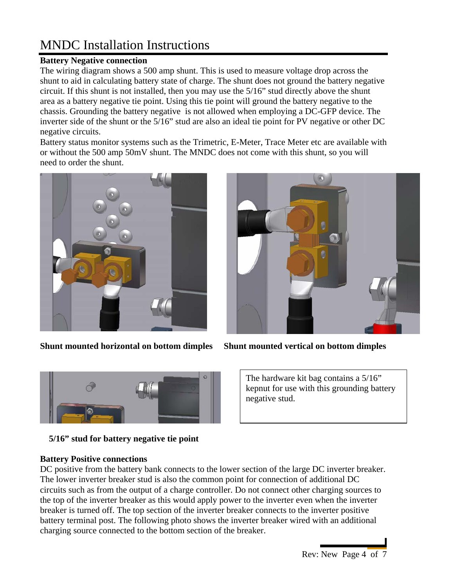### **Battery Negative connection**

The wiring diagram shows a 500 amp shunt. This is used to measure voltage drop across the shunt to aid in calculating battery state of charge. The shunt does not ground the battery negative circuit. If this shunt is not installed, then you may use the 5/16" stud directly above the shunt area as a battery negative tie point. Using this tie point will ground the battery negative to the chassis. Grounding the battery negative is not allowed when employing a DC-GFP device. The inverter side of the shunt or the 5/16" stud are also an ideal tie point for PV negative or other DC negative circuits.

Battery status monitor systems such as the Trimetric, E-Meter, Trace Meter etc are available with or without the 500 amp 50mV shunt. The MNDC does not come with this shunt, so you will need to order the shunt.



**Shunt mounted horizontal on bottom dimples Shunt mounted vertical on bottom dimples** 





 **5/16" stud for battery negative tie point** 

The hardware kit bag contains a 5/16" kepnut for use with this grounding battery negative stud.

### **Battery Positive connections**

DC positive from the battery bank connects to the lower section of the large DC inverter breaker. The lower inverter breaker stud is also the common point for connection of additional DC circuits such as from the output of a charge controller. Do not connect other charging sources to the top of the inverter breaker as this would apply power to the inverter even when the inverter breaker is turned off. The top section of the inverter breaker connects to the inverter positive battery terminal post. The following photo shows the inverter breaker wired with an additional charging source connected to the bottom section of the breaker.

Rev: New Page 4 of 7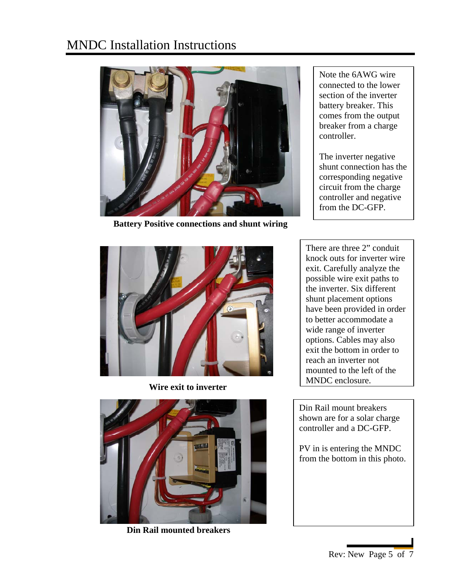

 **Battery Positive connections and shunt wiring** 

Note the 6AWG wire connected to the lower section of the inverter battery breaker. This comes from the output breaker from a charge controller.

The inverter negative shunt connection has the corresponding negative circuit from the charge controller and negative from the DC-GFP.



 **Wire exit to inverter** 



**Din Rail mounted breakers** 

There are three 2" conduit knock outs for inverter wire exit. Carefully analyze the possible wire exit paths to the inverter. Six different shunt placement options have been provided in order to better accommodate a wide range of inverter options. Cables may also exit the bottom in order to reach an inverter not mounted to the left of the MNDC enclosure.

Din Rail mount breakers shown are for a solar charge controller and a DC-GFP.

PV in is entering the MNDC from the bottom in this photo.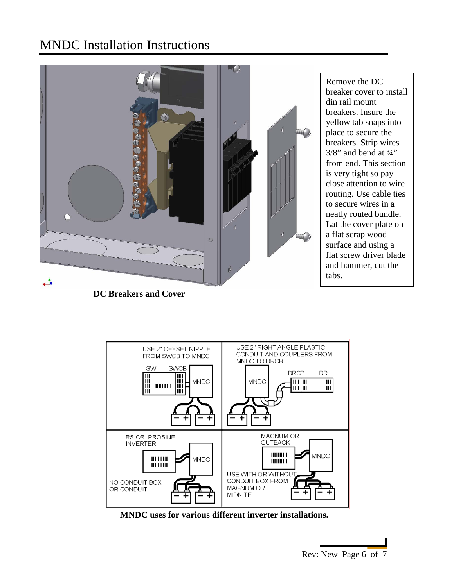

Remove the DC breaker cover to install din rail mount breakers. Insure the yellow tab snaps into place to secure the breakers. Strip wires  $3/8$ " and bend at  $\frac{3}{4}$ " from end. This section is very tight so pay close attention to wire routing. Use cable ties to secure wires in a neatly routed bundle. Lat the cover plate on a flat scrap wood surface and using a flat screw driver blade and hammer, cut the tabs.

 **DC Breakers and Cover** 



 **MNDC uses for various different inverter installations.** 

Rev: New Page 6 of 7